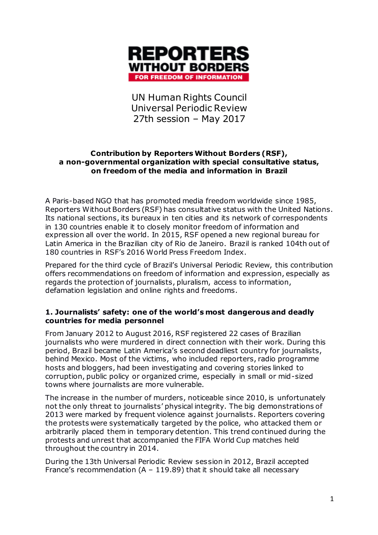

UN Human Rights Council Universal Periodic Review 27th session – May 2017

### **Contribution by Reporters Without Borders (RSF), a non-governmental organization with special consultative status, on freedom of the media and information in Brazil**

A Paris-based NGO that has promoted media freedom worldwide since 1985, Reporters Without Borders (RSF) has consultative status with the United Nations. Its national sections, its bureaux in ten cities and its network of correspondents in 130 countries enable it to closely monitor freedom of information and expression all over the world. In 2015, RSF opened a new regional bureau for Latin America in the Brazilian city of Rio de Janeiro. Brazil is ranked 104th out of 180 countries in RSF's 2016 World Press Freedom Index.

Prepared for the third cycle of Brazil's Universal Periodic Review, this contribution offers recommendations on freedom of information and expression, especially as regards the protection of journalists, pluralism, access to information, defamation legislation and online rights and freedoms.

# **1. Journalists' safety: one of the world's most dangerous and deadly countries for media personnel**

From January 2012 to August 2016, RSF registered 22 cases of Brazilian journalists who were murdered in direct connection with their work. During this period, Brazil became Latin America's second deadliest country for journalists, behind Mexico. Most of the victims, who included reporters, radio programme hosts and bloggers, had been investigating and covering stories linked to corruption, public policy or organized crime, especially in small or mid-sized towns where journalists are more vulnerable.

The increase in the number of murders, noticeable since 2010, is unfortunately not the only threat to journalists' physical integrity. The big demonstrations of 2013 were marked by frequent violence against journalists. Reporters covering the protests were systematically targeted by the police, who attacked them or arbitrarily placed them in temporary detention. This trend continued during the protests and unrest that accompanied the FIFA World Cup matches held throughout the country in 2014.

During the 13th Universal Periodic Review session in 2012, Brazil accepted France's recommendation  $(A - 119.89)$  that it should take all necessary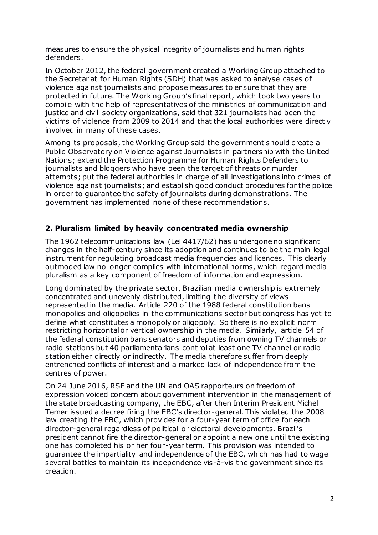measures to ensure the physical integrity of journalists and human rights defenders.

In October 2012, the federal government created a Working Group attached to the Secretariat for Human Rights (SDH) that was asked to analyse cases of violence against journalists and propose measures to ensure that they are protected in future. The Working Group's final report, which took two years to compile with the help of representatives of the ministries of communication and justice and civil society organizations, said that 321 journalists had been the victims of violence from 2009 to 2014 and that the local authorities were directly involved in many of these cases.

Among its proposals, the Working Group said the government should create a Public Observatory on Violence against Journalists in partnership with the United Nations; extend the Protection Programme for Human Rights Defenders to journalists and bloggers who have been the target of threats or murder attempts; put the federal authorities in charge of all investigations into crimes of violence against journalists; and establish good conduct procedures for the police in order to guarantee the safety of journalists during demonstrations. The government has implemented none of these recommendations.

# **2. Pluralism limited by heavily concentrated media ownership**

The 1962 telecommunications law (Lei 4417/62) has undergone no significant changes in the half-century since its adoption and continues to be the main legal instrument for regulating broadcast media frequencies and licences. This clearly outmoded law no longer complies with international norms, which regard media pluralism as a key component of freedom of information and expression.

Long dominated by the private sector, Brazilian media ownership is extremely concentrated and unevenly distributed, limiting the diversity of views represented in the media. Article 220 of the 1988 federal constitution bans monopolies and oligopolies in the communications sector but congress has yet to define what constitutes a monopoly or oligopoly. So there is no explicit norm restricting horizontal or vertical ownership in the media. Similarly, article 54 of the federal constitution bans senators and deputies from owning TV channels or radio stations but 40 parliamentarians control at least one TV channel or radio station either directly or indirectly. The media therefore suffer from deeply entrenched conflicts of interest and a marked lack of independence from the centres of power.

On 24 June 2016, RSF and the UN and OAS rapporteurs on freedom of expression voiced concern about government intervention in the management of the state broadcasting company, the EBC, after then Interim President Michel Temer issued a decree firing the EBC's director-general. This violated the 2008 law creating the EBC, which provides for a four-year term of office for each director-general regardless of political or electoral developments. Brazil's president cannot fire the director-general or appoint a new one until the existing one has completed his or her four-year term. This provision was intended to guarantee the impartiality and independence of the EBC, which has had to wage several battles to maintain its independence vis-à-vis the government since its creation.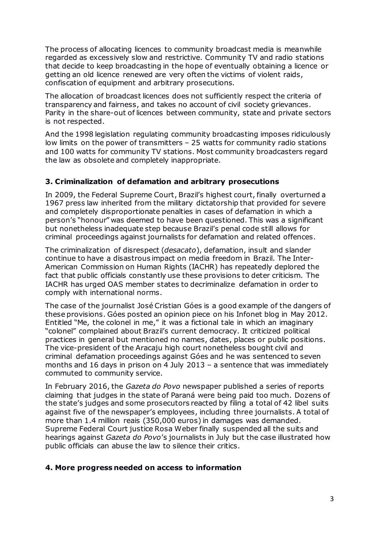The process of allocating licences to community broadcast media is meanwhile regarded as excessively slow and restrictive. Community TV and radio stations that decide to keep broadcasting in the hope of eventually obtaining a licence or getting an old licence renewed are very often the victims of violent raids, confiscation of equipment and arbitrary prosecutions.

The allocation of broadcast licences does not sufficiently respect the criteria of transparency and fairness, and takes no account of civil society grievances. Parity in the share-out of licences between community, state and private sectors is not respected.

And the 1998 legislation regulating community broadcasting imposes ridiculously low limits on the power of transmitters – 25 watts for community radio stations and 100 watts for community TV stations. Most community broadcasters regard the law as obsolete and completely inappropriate.

# **3. Criminalization of defamation and arbitrary prosecutions**

In 2009, the Federal Supreme Court, Brazil's highest court, finally overturned a 1967 press law inherited from the military dictatorship that provided for severe and completely disproportionate penalties in cases of defamation in which a person's "honour" was deemed to have been questioned. This was a significant but nonetheless inadequate step because Brazil's penal code still allows for criminal proceedings against journalists for defamation and related offences.

The criminalization of disrespect (*desacato*), defamation, insult and slander continue to have a disastrous impact on media freedom in Brazil. The Inter-American Commission on Human Rights (IACHR) has repeatedly deplored the fact that public officials constantly use these provisions to deter criticism. The IACHR has urged OAS member states to decriminalize defamation in order to comply with international norms.

The case of the journalist José Cristian Góes is a good example of the dangers of these provisions. Góes posted an opinion piece on his Infonet blog in May 2012. Entitled "Me, the colonel in me," it was a fictional tale in which an imaginary "colonel" complained about Brazil's current democracy. It criticized political practices in general but mentioned no names, dates, places or public positions. The vice-president of the Aracaju high court nonetheless bought civil and criminal defamation proceedings against Góes and he was sentenced to seven months and 16 days in prison on 4 July 2013 – a sentence that was immediately commuted to community service.

In February 2016, the *Gazeta do Povo* newspaper published a series of reports claiming that judges in the state of Paraná were being paid too much. Dozens of the state's judges and some prosecutors reacted by filing a total of 42 libel suits against five of the newspaper's employees, including three journalists. A total of more than 1.4 million reais (350,000 euros) in damages was demanded. Supreme Federal Court justice Rosa Weber finally suspended all the suits and hearings against *Gazeta do Povo*'s journalists in July but the case illustrated how public officials can abuse the law to silence their critics.

### **4. More progress needed on access to information**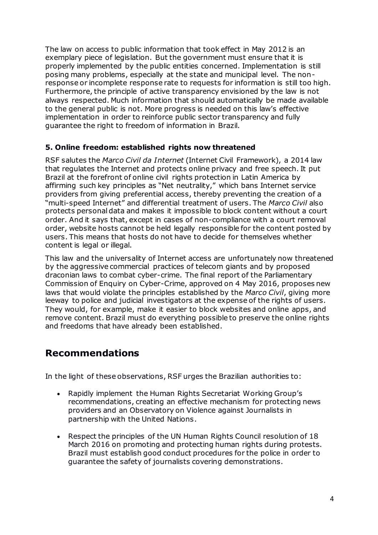The law on access to public information that took effect in May 2012 is an exemplary piece of legislation. But the government must ensure that it is properly implemented by the public entities concerned. Implementation is still posing many problems, especially at the state and municipal level. The nonresponse or incomplete response rate to requests for information is still too high. Furthermore, the principle of active transparency envisioned by the law is not always respected. Much information that should automatically be made available to the general public is not. More progress is needed on this law's effective implementation in order to reinforce public sector transparency and fully guarantee the right to freedom of information in Brazil.

# **5. Online freedom: established rights now threatened**

RSF salutes the *Marco Civil da Internet* (Internet Civil Framework), a 2014 law that regulates the Internet and protects online privacy and free speech. It put Brazil at the forefront of online civil rights protection in Latin America by affirming such key principles as "Net neutrality," which bans Internet service providers from giving preferential access, thereby preventing the creation of a "multi-speed Internet" and differential treatment of users. The *Marco Civil* also protects personal data and makes it impossible to block content without a court order. And it says that, except in cases of non-compliance with a court removal order, website hosts cannot be held legally responsible for the content posted by users. This means that hosts do not have to decide for themselves whether content is legal or illegal.

This law and the universality of Internet access are unfortunately now threatened by the aggressive commercial practices of telecom giants and by proposed draconian laws to combat cyber-crime. The final report of the Parliamentary Commission of Enquiry on Cyber-Crime, approved on 4 May 2016, proposes new laws that would violate the principles established by the *Marco Civil*, giving more leeway to police and judicial investigators at the expense of the rights of users. They would, for example, make it easier to block websites and online apps, and remove content. Brazil must do everything possible to preserve the online rights and freedoms that have already been established.

# **Recommendations**

In the light of these observations, RSF urges the Brazilian authorities to:

- Rapidly implement the Human Rights Secretariat Working Group's recommendations, creating an effective mechanism for protecting news providers and an Observatory on Violence against Journalists in partnership with the United Nations.
- Respect the principles of the UN Human Rights Council resolution of 18 March 2016 on promoting and protecting human rights during protests. Brazil must establish good conduct procedures for the police in order to guarantee the safety of journalists covering demonstrations.